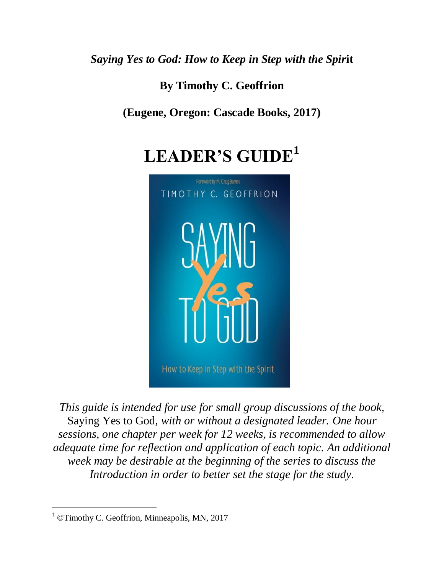*Saying Yes to God: How to Keep in Step with the Spir***it**

**By Timothy C. Geoffrion**

**(Eugene, Oregon: Cascade Books, 2017)**

# **LEADER'S GUIDE<sup>1</sup>**



*This guide is intended for use for small group discussions of the book,*  Saying Yes to God, *with or without a designated leader. One hour sessions, one chapter per week for 12 weeks, is recommended to allow adequate time for reflection and application of each topic. An additional week may be desirable at the beginning of the series to discuss the Introduction in order to better set the stage for the study.*

 $\overline{a}$ 

<sup>1</sup> ©Timothy C. Geoffrion, Minneapolis, MN, 2017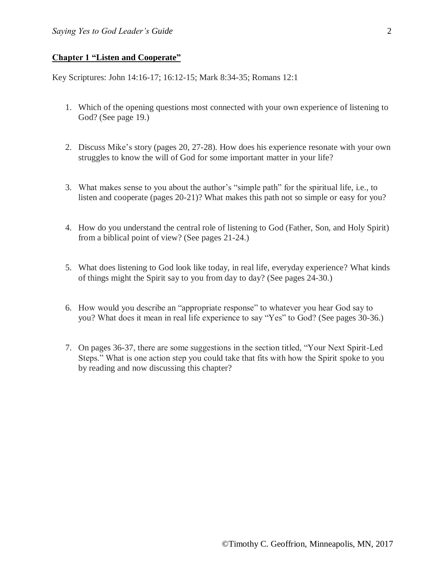#### **Chapter 1 "Listen and Cooperate"**

Key Scriptures: John 14:16-17; 16:12-15; Mark 8:34-35; Romans 12:1

- 1. Which of the opening questions most connected with your own experience of listening to God? (See page 19.)
- 2. Discuss Mike's story (pages 20, 27-28). How does his experience resonate with your own struggles to know the will of God for some important matter in your life?
- 3. What makes sense to you about the author's "simple path" for the spiritual life, i.e., to listen and cooperate (pages 20-21)? What makes this path not so simple or easy for you?
- 4. How do you understand the central role of listening to God (Father, Son, and Holy Spirit) from a biblical point of view? (See pages 21-24.)
- 5. What does listening to God look like today, in real life, everyday experience? What kinds of things might the Spirit say to you from day to day? (See pages 24-30.)
- 6. How would you describe an "appropriate response" to whatever you hear God say to you? What does it mean in real life experience to say "Yes" to God? (See pages 30-36.)
- 7. On pages 36-37, there are some suggestions in the section titled, "Your Next Spirit-Led Steps." What is one action step you could take that fits with how the Spirit spoke to you by reading and now discussing this chapter?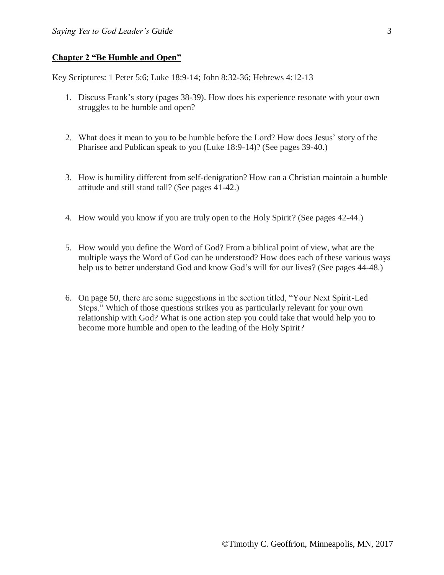#### **Chapter 2 "Be Humble and Open"**

Key Scriptures: 1 Peter 5:6; Luke 18:9-14; John 8:32-36; Hebrews 4:12-13

- 1. Discuss Frank's story (pages 38-39). How does his experience resonate with your own struggles to be humble and open?
- 2. What does it mean to you to be humble before the Lord? How does Jesus' story of the Pharisee and Publican speak to you (Luke 18:9-14)? (See pages 39-40.)
- 3. How is humility different from self-denigration? How can a Christian maintain a humble attitude and still stand tall? (See pages 41-42.)
- 4. How would you know if you are truly open to the Holy Spirit? (See pages 42-44.)
- 5. How would you define the Word of God? From a biblical point of view, what are the multiple ways the Word of God can be understood? How does each of these various ways help us to better understand God and know God's will for our lives? (See pages 44-48.)
- 6. On page 50, there are some suggestions in the section titled, "Your Next Spirit-Led Steps." Which of those questions strikes you as particularly relevant for your own relationship with God? What is one action step you could take that would help you to become more humble and open to the leading of the Holy Spirit?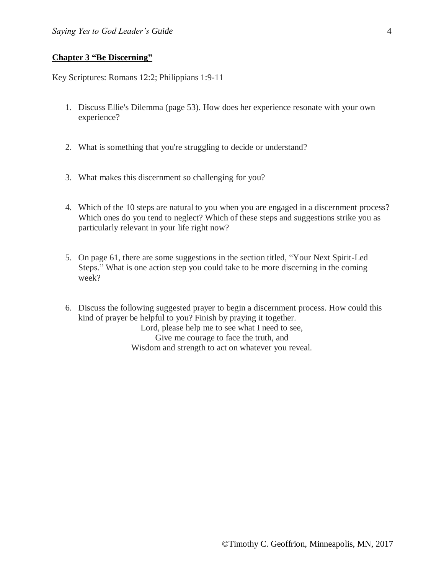#### **Chapter 3 "Be Discerning"**

Key Scriptures: Romans 12:2; Philippians 1:9-11

- 1. Discuss Ellie's Dilemma (page 53). How does her experience resonate with your own experience?
- 2. What is something that you're struggling to decide or understand?
- 3. What makes this discernment so challenging for you?
- 4. Which of the 10 steps are natural to you when you are engaged in a discernment process? Which ones do you tend to neglect? Which of these steps and suggestions strike you as particularly relevant in your life right now?
- 5. On page 61, there are some suggestions in the section titled, "Your Next Spirit-Led Steps." What is one action step you could take to be more discerning in the coming week?
- 6. Discuss the following suggested prayer to begin a discernment process. How could this kind of prayer be helpful to you? Finish by praying it together. Lord, please help me to see what I need to see, Give me courage to face the truth, and Wisdom and strength to act on whatever you reveal.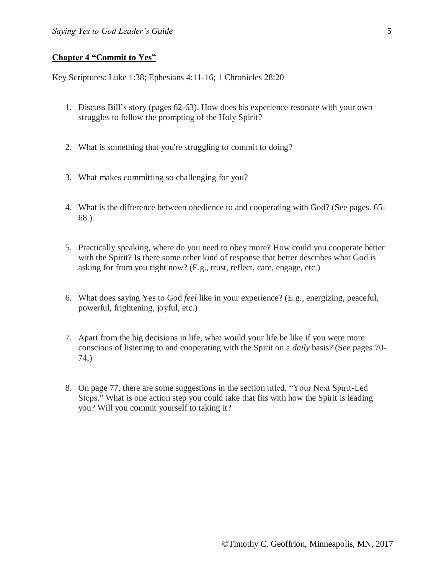#### **Chapter 4 "Commit to Yes"**

Key Scriptures: Luke 1:38; Ephesians 4:11-16; 1 Chronicles 28:20

- 1. Discuss Bill's story (pages 62-63). How does his experience resonate with your own struggles to follow the prompting of the Holy Spirit?
- 2. What is something that you're struggling to commit to doing?
- 3. What makes committing so challenging for you?
- 4. What is the difference between obedience to and cooperating with God? (See pages. 65- 68.)
- 5. Practically speaking, where do you need to obey more? How could you cooperate better with the Spirit? Is there some other kind of response that better describes what God is asking for from you right now? (E.g., trust, reflect, care, engage, etc.)
- 6. What does saying Yes to God *feel* like in your experience? (E.g., energizing, peaceful, powerful, frightening, joyful, etc.)
- 7. Apart from the big decisions in life, what would your life be like if you were more conscious of listening to and cooperating with the Spirit on a *daily* basis? (See pages 70- 74,)
- 8. On page 77, there are some suggestions in the section titled, "Your Next Spirit-Led Steps." What is one action step you could take that fits with how the Spirit is leading you? Will you commit yourself to taking it?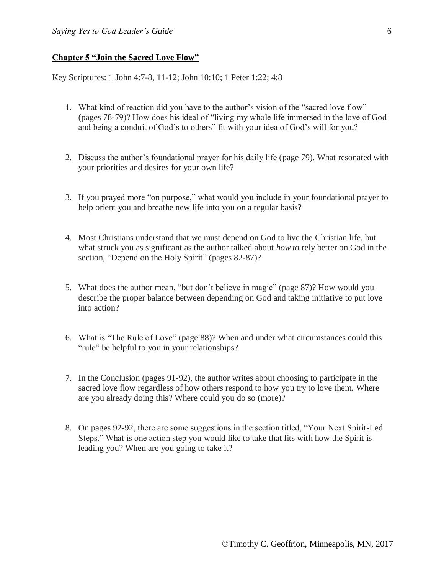#### **Chapter 5 "Join the Sacred Love Flow"**

Key Scriptures: 1 John 4:7-8, 11-12; John 10:10; 1 Peter 1:22; 4:8

- 1. What kind of reaction did you have to the author's vision of the "sacred love flow" (pages 78-79)? How does his ideal of "living my whole life immersed in the love of God and being a conduit of God's to others" fit with your idea of God's will for you?
- 2. Discuss the author's foundational prayer for his daily life (page 79). What resonated with your priorities and desires for your own life?
- 3. If you prayed more "on purpose," what would you include in your foundational prayer to help orient you and breathe new life into you on a regular basis?
- 4. Most Christians understand that we must depend on God to live the Christian life, but what struck you as significant as the author talked about *how to* rely better on God in the section, "Depend on the Holy Spirit" (pages 82-87)?
- 5. What does the author mean, "but don't believe in magic" (page 87)? How would you describe the proper balance between depending on God and taking initiative to put love into action?
- 6. What is "The Rule of Love" (page 88)? When and under what circumstances could this "rule" be helpful to you in your relationships?
- 7. In the Conclusion (pages 91-92), the author writes about choosing to participate in the sacred love flow regardless of how others respond to how you try to love them. Where are you already doing this? Where could you do so (more)?
- 8. On pages 92-92, there are some suggestions in the section titled, "Your Next Spirit-Led Steps." What is one action step you would like to take that fits with how the Spirit is leading you? When are you going to take it?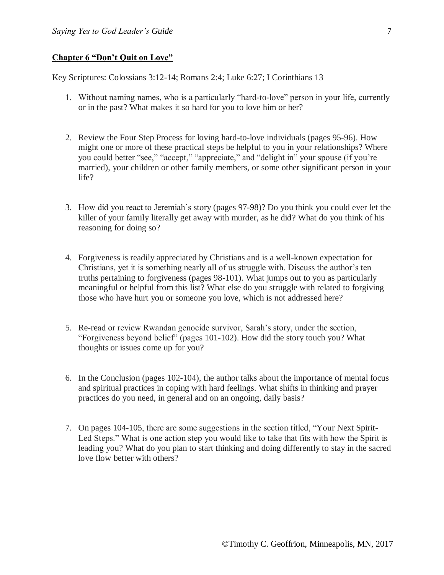#### **Chapter 6 "Don't Quit on Love"**

Key Scriptures: Colossians 3:12-14; Romans 2:4; Luke 6:27; I Corinthians 13

- 1. Without naming names, who is a particularly "hard-to-love" person in your life, currently or in the past? What makes it so hard for you to love him or her?
- 2. Review the Four Step Process for loving hard-to-love individuals (pages 95-96). How might one or more of these practical steps be helpful to you in your relationships? Where you could better "see," "accept," "appreciate," and "delight in" your spouse (if you're married), your children or other family members, or some other significant person in your life?
- 3. How did you react to Jeremiah's story (pages 97-98)? Do you think you could ever let the killer of your family literally get away with murder, as he did? What do you think of his reasoning for doing so?
- 4. Forgiveness is readily appreciated by Christians and is a well-known expectation for Christians, yet it is something nearly all of us struggle with. Discuss the author's ten truths pertaining to forgiveness (pages 98-101). What jumps out to you as particularly meaningful or helpful from this list? What else do you struggle with related to forgiving those who have hurt you or someone you love, which is not addressed here?
- 5. Re-read or review Rwandan genocide survivor, Sarah's story, under the section, "Forgiveness beyond belief" (pages 101-102). How did the story touch you? What thoughts or issues come up for you?
- 6. In the Conclusion (pages 102-104), the author talks about the importance of mental focus and spiritual practices in coping with hard feelings. What shifts in thinking and prayer practices do you need, in general and on an ongoing, daily basis?
- 7. On pages 104-105, there are some suggestions in the section titled, "Your Next Spirit-Led Steps." What is one action step you would like to take that fits with how the Spirit is leading you? What do you plan to start thinking and doing differently to stay in the sacred love flow better with others?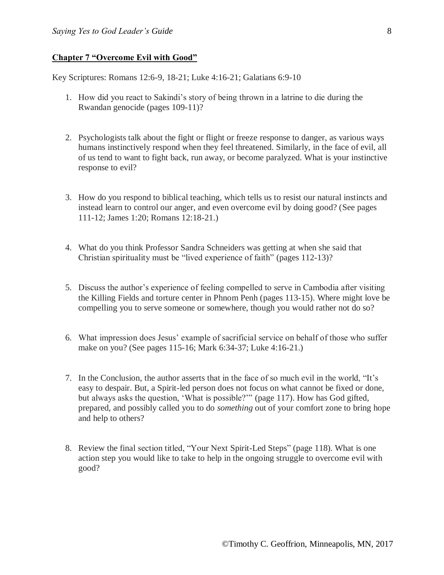#### **Chapter 7 "Overcome Evil with Good"**

Key Scriptures: Romans 12:6-9, 18-21; Luke 4:16-21; Galatians 6:9-10

- 1. How did you react to Sakindi's story of being thrown in a latrine to die during the Rwandan genocide (pages 109-11)?
- 2. Psychologists talk about the fight or flight or freeze response to danger, as various ways humans instinctively respond when they feel threatened. Similarly, in the face of evil, all of us tend to want to fight back, run away, or become paralyzed. What is your instinctive response to evil?
- 3. How do you respond to biblical teaching, which tells us to resist our natural instincts and instead learn to control our anger, and even overcome evil by doing good? (See pages 111-12; James 1:20; Romans 12:18-21.)
- 4. What do you think Professor Sandra Schneiders was getting at when she said that Christian spirituality must be "lived experience of faith" (pages 112-13)?
- 5. Discuss the author's experience of feeling compelled to serve in Cambodia after visiting the Killing Fields and torture center in Phnom Penh (pages 113-15). Where might love be compelling you to serve someone or somewhere, though you would rather not do so?
- 6. What impression does Jesus' example of sacrificial service on behalf of those who suffer make on you? (See pages 115-16; Mark 6:34-37; Luke 4:16-21.)
- 7. In the Conclusion, the author asserts that in the face of so much evil in the world, "It's easy to despair. But, a Spirit-led person does not focus on what cannot be fixed or done, but always asks the question, 'What is possible?'" (page 117). How has God gifted, prepared, and possibly called you to do *something* out of your comfort zone to bring hope and help to others?
- 8. Review the final section titled, "Your Next Spirit-Led Steps" (page 118). What is one action step you would like to take to help in the ongoing struggle to overcome evil with good?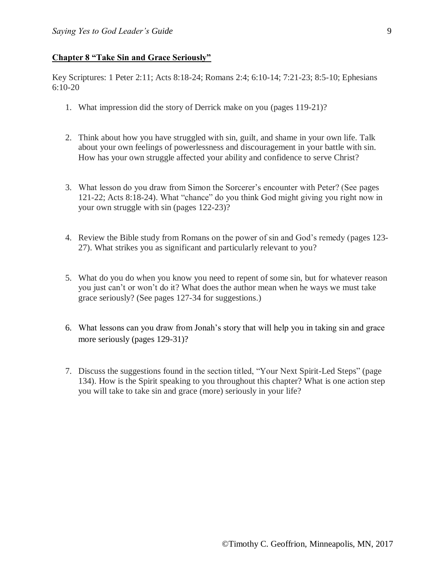## **Chapter 8 "Take Sin and Grace Seriously"**

Key Scriptures: 1 Peter 2:11; Acts 8:18-24; Romans 2:4; 6:10-14; 7:21-23; 8:5-10; Ephesians 6:10-20

- 1. What impression did the story of Derrick make on you (pages 119-21)?
- 2. Think about how you have struggled with sin, guilt, and shame in your own life. Talk about your own feelings of powerlessness and discouragement in your battle with sin. How has your own struggle affected your ability and confidence to serve Christ?
- 3. What lesson do you draw from Simon the Sorcerer's encounter with Peter? (See pages 121-22; Acts 8:18-24). What "chance" do you think God might giving you right now in your own struggle with sin (pages 122-23)?
- 4. Review the Bible study from Romans on the power of sin and God's remedy (pages 123- 27). What strikes you as significant and particularly relevant to you?
- 5. What do you do when you know you need to repent of some sin, but for whatever reason you just can't or won't do it? What does the author mean when he ways we must take grace seriously? (See pages 127-34 for suggestions.)
- 6. What lessons can you draw from Jonah's story that will help you in taking sin and grace more seriously (pages 129-31)?
- 7. Discuss the suggestions found in the section titled, "Your Next Spirit-Led Steps" (page 134). How is the Spirit speaking to you throughout this chapter? What is one action step you will take to take sin and grace (more) seriously in your life?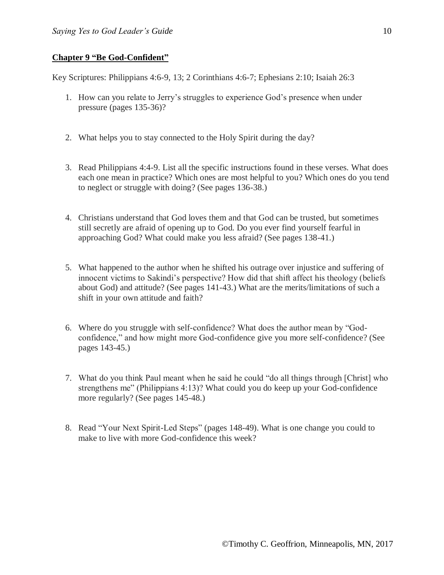## **Chapter 9 "Be God-Confident"**

Key Scriptures: Philippians 4:6-9, 13; 2 Corinthians 4:6-7; Ephesians 2:10; Isaiah 26:3

- 1. How can you relate to Jerry's struggles to experience God's presence when under pressure (pages 135-36)?
- 2. What helps you to stay connected to the Holy Spirit during the day?
- 3. Read Philippians 4:4-9. List all the specific instructions found in these verses. What does each one mean in practice? Which ones are most helpful to you? Which ones do you tend to neglect or struggle with doing? (See pages 136-38.)
- 4. Christians understand that God loves them and that God can be trusted, but sometimes still secretly are afraid of opening up to God. Do you ever find yourself fearful in approaching God? What could make you less afraid? (See pages 138-41.)
- 5. What happened to the author when he shifted his outrage over injustice and suffering of innocent victims to Sakindi's perspective? How did that shift affect his theology (beliefs about God) and attitude? (See pages 141-43.) What are the merits/limitations of such a shift in your own attitude and faith?
- 6. Where do you struggle with self-confidence? What does the author mean by "Godconfidence," and how might more God-confidence give you more self-confidence? (See pages 143-45.)
- 7. What do you think Paul meant when he said he could "do all things through [Christ] who strengthens me" (Philippians 4:13)? What could you do keep up your God-confidence more regularly? (See pages 145-48.)
- 8. Read "Your Next Spirit-Led Steps" (pages 148-49). What is one change you could to make to live with more God-confidence this week?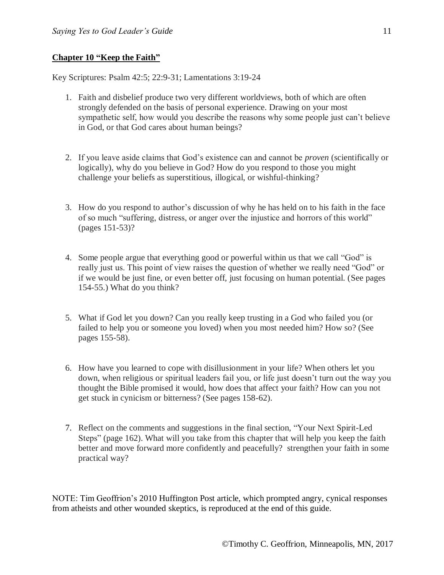# **Chapter 10 "Keep the Faith"**

Key Scriptures: Psalm 42:5; 22:9-31; Lamentations 3:19-24

- 1. Faith and disbelief produce two very different worldviews, both of which are often strongly defended on the basis of personal experience. Drawing on your most sympathetic self, how would you describe the reasons why some people just can't believe in God, or that God cares about human beings?
- 2. If you leave aside claims that God's existence can and cannot be *proven* (scientifically or logically), why do you believe in God? How do you respond to those you might challenge your beliefs as superstitious, illogical, or wishful-thinking?
- 3. How do you respond to author's discussion of why he has held on to his faith in the face of so much "suffering, distress, or anger over the injustice and horrors of this world" (pages 151-53)?
- 4. Some people argue that everything good or powerful within us that we call "God" is really just us. This point of view raises the question of whether we really need "God" or if we would be just fine, or even better off, just focusing on human potential. (See pages 154-55.) What do you think?
- 5. What if God let you down? Can you really keep trusting in a God who failed you (or failed to help you or someone you loved) when you most needed him? How so? (See pages 155-58).
- 6. How have you learned to cope with disillusionment in your life? When others let you down, when religious or spiritual leaders fail you, or life just doesn't turn out the way you thought the Bible promised it would, how does that affect your faith? How can you not get stuck in cynicism or bitterness? (See pages 158-62).
- 7. Reflect on the comments and suggestions in the final section, "Your Next Spirit-Led Steps" (page 162). What will you take from this chapter that will help you keep the faith better and move forward more confidently and peacefully? strengthen your faith in some practical way?

NOTE: Tim Geoffrion's 2010 Huffington Post article, which prompted angry, cynical responses from atheists and other wounded skeptics, is reproduced at the end of this guide.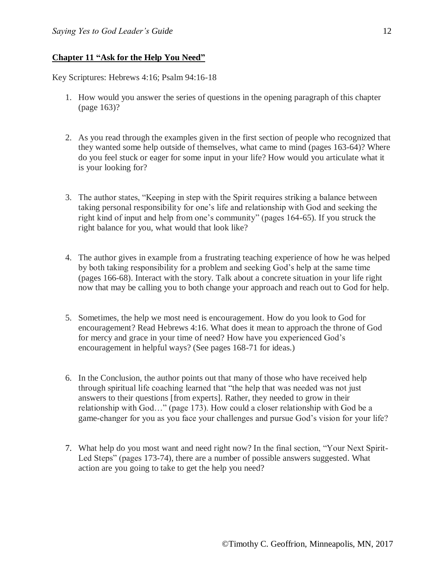## **Chapter 11 "Ask for the Help You Need"**

Key Scriptures: Hebrews 4:16; Psalm 94:16-18

- 1. How would you answer the series of questions in the opening paragraph of this chapter (page 163)?
- 2. As you read through the examples given in the first section of people who recognized that they wanted some help outside of themselves, what came to mind (pages 163-64)? Where do you feel stuck or eager for some input in your life? How would you articulate what it is your looking for?
- 3. The author states, "Keeping in step with the Spirit requires striking a balance between taking personal responsibility for one's life and relationship with God and seeking the right kind of input and help from one's community" (pages 164-65). If you struck the right balance for you, what would that look like?
- 4. The author gives in example from a frustrating teaching experience of how he was helped by both taking responsibility for a problem and seeking God's help at the same time (pages 166-68). Interact with the story. Talk about a concrete situation in your life right now that may be calling you to both change your approach and reach out to God for help.
- 5. Sometimes, the help we most need is encouragement. How do you look to God for encouragement? Read Hebrews 4:16. What does it mean to approach the throne of God for mercy and grace in your time of need? How have you experienced God's encouragement in helpful ways? (See pages 168-71 for ideas.)
- 6. In the Conclusion, the author points out that many of those who have received help through spiritual life coaching learned that "the help that was needed was not just answers to their questions [from experts]. Rather, they needed to grow in their relationship with God…" (page 173). How could a closer relationship with God be a game-changer for you as you face your challenges and pursue God's vision for your life?
- 7. What help do you most want and need right now? In the final section, "Your Next Spirit-Led Steps" (pages 173-74), there are a number of possible answers suggested. What action are you going to take to get the help you need?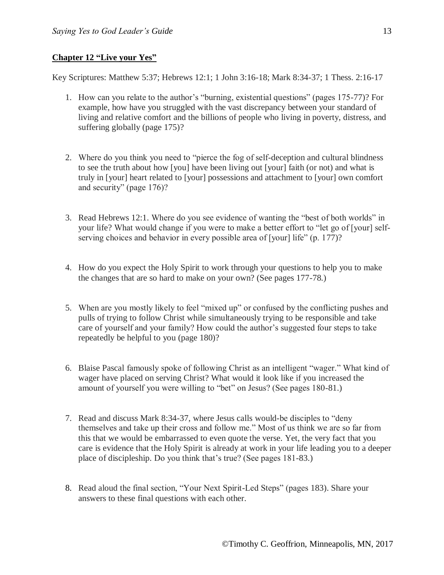Key Scriptures: Matthew 5:37; Hebrews 12:1; 1 John 3:16-18; Mark 8:34-37; 1 Thess. 2:16-17

- 1. How can you relate to the author's "burning, existential questions" (pages 175-77)? For example, how have you struggled with the vast discrepancy between your standard of living and relative comfort and the billions of people who living in poverty, distress, and suffering globally (page 175)?
- 2. Where do you think you need to "pierce the fog of self-deception and cultural blindness to see the truth about how [you] have been living out [your] faith (or not) and what is truly in [your] heart related to [your] possessions and attachment to [your] own comfort and security" (page 176)?
- 3. Read Hebrews 12:1. Where do you see evidence of wanting the "best of both worlds" in your life? What would change if you were to make a better effort to "let go of [your] selfserving choices and behavior in every possible area of [your] life" (p. 177)?
- 4. How do you expect the Holy Spirit to work through your questions to help you to make the changes that are so hard to make on your own? (See pages 177-78.)
- 5. When are you mostly likely to feel "mixed up" or confused by the conflicting pushes and pulls of trying to follow Christ while simultaneously trying to be responsible and take care of yourself and your family? How could the author's suggested four steps to take repeatedly be helpful to you (page 180)?
- 6. Blaise Pascal famously spoke of following Christ as an intelligent "wager." What kind of wager have placed on serving Christ? What would it look like if you increased the amount of yourself you were willing to "bet" on Jesus? (See pages 180-81.)
- 7. Read and discuss Mark 8:34-37, where Jesus calls would-be disciples to "deny themselves and take up their cross and follow me." Most of us think we are so far from this that we would be embarrassed to even quote the verse. Yet, the very fact that you care is evidence that the Holy Spirit is already at work in your life leading you to a deeper place of discipleship. Do you think that's true? (See pages 181-83.)
- 8. Read aloud the final section, "Your Next Spirit-Led Steps" (pages 183). Share your answers to these final questions with each other.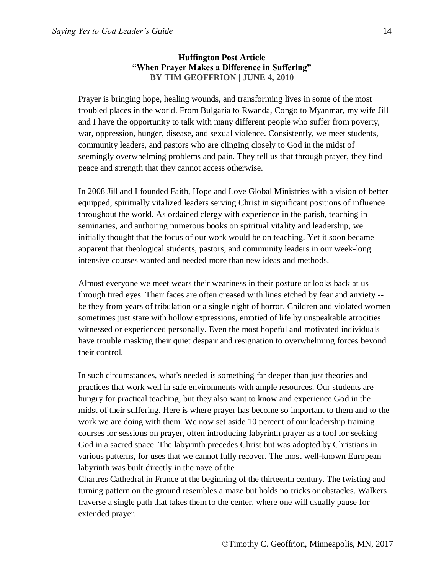# **Huffington Post Article "When Prayer Makes a Difference in Suffering" BY TIM GEOFFRION | JUNE 4, 2010**

Prayer is bringing hope, healing wounds, and transforming lives in some of the most troubled places in the world. From Bulgaria to Rwanda, Congo to Myanmar, my wife Jill and I have the opportunity to talk with many different people who suffer from poverty, war, oppression, hunger, disease, and sexual violence. Consistently, we meet students, community leaders, and pastors who are clinging closely to God in the midst of seemingly overwhelming problems and pain. They tell us that through prayer, they find peace and strength that they cannot access otherwise.

In 2008 Jill and I founded Faith, Hope and Love Global Ministries with a vision of better equipped, spiritually vitalized leaders serving Christ in significant positions of influence throughout the world. As ordained clergy with experience in the parish, teaching in seminaries, and authoring numerous books on spiritual vitality and leadership, we initially thought that the focus of our work would be on teaching. Yet it soon became apparent that theological students, pastors, and community leaders in our week-long intensive courses wanted and needed more than new ideas and methods.

Almost everyone we meet wears their weariness in their posture or looks back at us through tired eyes. Their faces are often creased with lines etched by fear and anxiety - be they from years of tribulation or a single night of horror. Children and violated women sometimes just stare with hollow expressions, emptied of life by unspeakable atrocities witnessed or experienced personally. Even the most hopeful and motivated individuals have trouble masking their quiet despair and resignation to overwhelming forces beyond their control.

In such circumstances, what's needed is something far deeper than just theories and practices that work well in safe environments with ample resources. Our students are hungry for practical teaching, but they also want to know and experience God in the midst of their suffering. Here is where prayer has become so important to them and to the work we are doing with them. We now set aside 10 percent of our leadership training courses for sessions on prayer, often introducing labyrinth prayer as a tool for seeking God in a sacred space. The labyrinth precedes Christ but was adopted by Christians in various patterns, for uses that we cannot fully recover. The most well-known European labyrinth was built directly in the nave of the

Chartres Cathedral in France at the beginning of the thirteenth century. The twisting and turning pattern on the ground resembles a maze but holds no tricks or obstacles. Walkers traverse a single path that takes them to the center, where one will usually pause for extended prayer.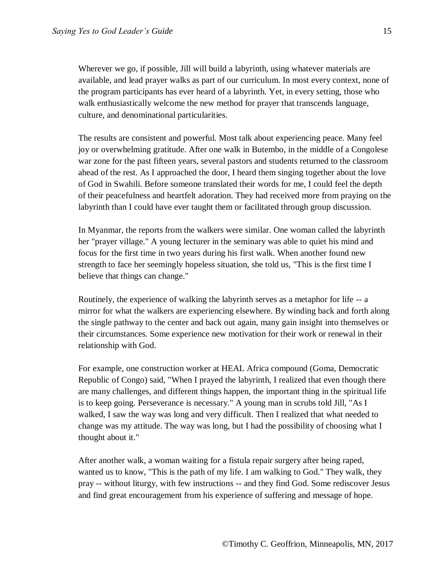Wherever we go, if possible, Jill will build a labyrinth, using whatever materials are available, and lead prayer walks as part of our curriculum. In most every context, none of the program participants has ever heard of a labyrinth. Yet, in every setting, those who walk enthusiastically welcome the new method for prayer that transcends language, culture, and denominational particularities.

The results are consistent and powerful. Most talk about experiencing peace. Many feel joy or overwhelming gratitude. After one walk in Butembo, in the middle of a Congolese war zone for the past fifteen years, several pastors and students returned to the classroom ahead of the rest. As I approached the door, I heard them singing together about the love of God in Swahili. Before someone translated their words for me, I could feel the depth of their peacefulness and heartfelt adoration. They had received more from praying on the labyrinth than I could have ever taught them or facilitated through group discussion.

In Myanmar, the reports from the walkers were similar. One woman called the labyrinth her "prayer village." A young lecturer in the seminary was able to quiet his mind and focus for the first time in two years during his first walk. When another found new strength to face her seemingly hopeless situation, she told us, "This is the first time I believe that things can change."

Routinely, the experience of walking the labyrinth serves as a metaphor for life -- a mirror for what the walkers are experiencing elsewhere. By winding back and forth along the single pathway to the center and back out again, many gain insight into themselves or their circumstances. Some experience new motivation for their work or renewal in their relationship with God.

For example, one construction worker at HEAL Africa compound (Goma, Democratic Republic of Congo) said, "When I prayed the labyrinth, I realized that even though there are many challenges, and different things happen, the important thing in the spiritual life is to keep going. Perseverance is necessary." A young man in scrubs told Jill, "As I walked, I saw the way was long and very difficult. Then I realized that what needed to change was my attitude. The way was long, but I had the possibility of choosing what I thought about it."

After another walk, a woman waiting for a fistula repair surgery after being raped, wanted us to know, "This is the path of my life. I am walking to God." They walk, they pray -- without liturgy, with few instructions -- and they find God. Some rediscover Jesus and find great encouragement from his experience of suffering and message of hope.